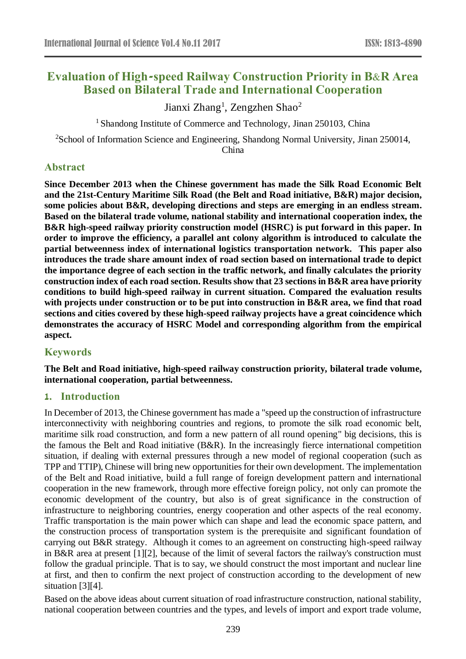# **Evaluation of High-speed Railway Construction Priority in B&R Area Based on Bilateral Trade and International Cooperation**

Jianxi Zhang<sup>1</sup>, Zengzhen Shao<sup>2</sup>

<sup>1</sup> Shandong Institute of Commerce and Technology, Jinan 250103, China

<sup>2</sup>School of Information Science and Engineering, Shandong Normal University, Jinan 250014, China

# **Abstract**

**Since December 2013 when the Chinese government has made the Silk Road Economic Belt and the 21st-Century Maritime Silk Road (the Belt and Road initiative, B&R) major decision, some policies about B&R, developing directions and steps are emerging in an endless stream. Based on the bilateral trade volume, national stability and international cooperation index, the B&R high-speed railway priority construction model (HSRC) is put forward in this paper. In order to improve the efficiency, a parallel ant colony algorithm is introduced to calculate the partial betweenness index of international logistics transportation network. This paper also introduces the trade share amount index of road section based on international trade to depict the importance degree of each section in the traffic network, and finally calculates the priority construction index of each road section. Results show that 23 sections in B&R area have priority conditions to build high-speed railway in current situation. Compared the evaluation results with projects under construction or to be put into construction in B&R area, we find that road sections and cities covered by these high-speed railway projects have a great coincidence which demonstrates the accuracy of HSRC Model and corresponding algorithm from the empirical aspect.**

# **Keywords**

**The Belt and Road initiative, high-speed railway construction priority, bilateral trade volume, international cooperation, partial betweenness.**

## **1. Introduction**

In December of 2013, the Chinese government has made a "speed up the construction of infrastructure interconnectivity with neighboring countries and regions, to promote the silk road economic belt, maritime silk road construction, and form a new pattern of all round opening" big decisions, this is the famous the Belt and Road initiative (B&R). In the increasingly fierce international competition situation, if dealing with external pressures through a new model of regional cooperation (such as TPP and TTIP), Chinese will bring new opportunities for their own development. The implementation of the Belt and Road initiative, build a full range of foreign development pattern and international cooperation in the new framework, through more effective foreign policy, not only can promote the economic development of the country, but also is of great significance in the construction of infrastructure to neighboring countries, energy cooperation and other aspects of the real economy. Traffic transportation is the main power which can shape and lead the economic space pattern, and the construction process of transportation system is the prerequisite and significant foundation of carrying out B&R strategy. Although it comes to an agreement on constructing high-speed railway in B&R area at present [1][2], because of the limit of several factors the railway's construction must follow the gradual principle. That is to say, we should construct the most important and nuclear line at first, and then to confirm the next project of construction according to the development of new situation [3][4].

Based on the above ideas about current situation of road infrastructure construction, national stability, national cooperation between countries and the types, and levels of import and export trade volume,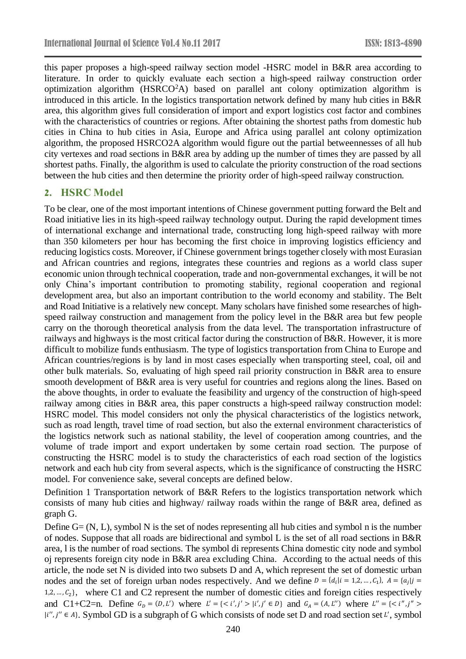this paper proposes a high-speed railway section model -HSRC model in B&R area according to literature. In order to quickly evaluate each section a high-speed railway construction order optimization algorithm  $(HS RCO<sup>2</sup>A)$  based on parallel ant colony optimization algorithm is introduced in this article. In the logistics transportation network defined by many hub cities in B&R area, this algorithm gives full consideration of import and export logistics cost factor and combines with the characteristics of countries or regions. After obtaining the shortest paths from domestic hub cities in China to hub cities in Asia, Europe and Africa using parallel ant colony optimization algorithm, the proposed HSRCO2A algorithm would figure out the partial betweennesses of all hub city vertexes and road sections in B&R area by adding up the number of times they are passed by all shortest paths. Finally, the algorithm is used to calculate the priority construction of the road sections between the hub cities and then determine the priority order of high-speed railway construction.

# **2. HSRC Model**

To be clear, one of the most important intentions of Chinese government putting forward the Belt and Road initiative lies in its high-speed railway technology output. During the rapid development times of international exchange and international trade, constructing long high-speed railway with more than 350 kilometers per hour has becoming the first choice in improving logistics efficiency and reducing logistics costs. Moreover, if Chinese government brings together closely with most Eurasian and African countries and regions, integrates these countries and regions as a world class super economic union through technical cooperation, trade and non-governmental exchanges, it will be not only China's important contribution to promoting stability, regional cooperation and regional development area, but also an important contribution to the world economy and stability. The Belt and Road Initiative is a relatively new concept. Many scholars have finished some researches of highspeed railway construction and management from the policy level in the B&R area but few people carry on the thorough theoretical analysis from the data level. The transportation infrastructure of railways and highways is the most critical factor during the construction of B&R. However, it is more difficult to mobilize funds enthusiasm. The type of logistics transportation from China to Europe and African countries/regions is by land in most cases especially when transporting steel, coal, oil and other bulk materials. So, evaluating of high speed rail priority construction in B&R area to ensure smooth development of B&R area is very useful for countries and regions along the lines. Based on the above thoughts, in order to evaluate the feasibility and urgency of the construction of high-speed railway among cities in B&R area, this paper constructs a high-speed railway construction model: HSRC model. This model considers not only the physical characteristics of the logistics network, such as road length, travel time of road section, but also the external environment characteristics of the logistics network such as national stability, the level of cooperation among countries, and the volume of trade import and export undertaken by some certain road section. The purpose of constructing the HSRC model is to study the characteristics of each road section of the logistics network and each hub city from several aspects, which is the significance of constructing the HSRC model. For convenience sake, several concepts are defined below.

Definition 1 Transportation network of B&R Refers to the logistics transportation network which consists of many hub cities and highway/ railway roads within the range of B&R area, defined as graph G.

Define G= (N, L), symbol N is the set of nodes representing all hub cities and symbol n is the number of nodes. Suppose that all roads are bidirectional and symbol L is the set of all road sections in B&R area, l is the number of road sections. The symbol di represents China domestic city node and symbol oj represents foreign city node in B&R area excluding China. According to the actual needs of this article, the node set N is divided into two subsets D and A, which represent the set of domestic urban nodes and the set of foreign urban nodes respectively. And we define  $D = \{d_i | i = 1, 2, ..., C_1\}$ ,  $A = \{a_j | j = 1, 2, ..., C_n\}$ 1,2, ...,  $C_2$ }, where C1 and C2 represent the number of domestic cities and foreign cities respectively and C1+C2=n. Define  $G_D = (D, L')$  where  $L' = \{ \langle i', j' \rangle | i', j' \in D \}$  and  $G_A = (A, L'')$  where  $L'' = \{ \langle i'', j'' \rangle | i', j'' \rangle | i', j'' \in D \}$  $|i'', j'' \in A$ . Symbol GD is a subgraph of G which consists of node set D and road section set  $L'$ , symbol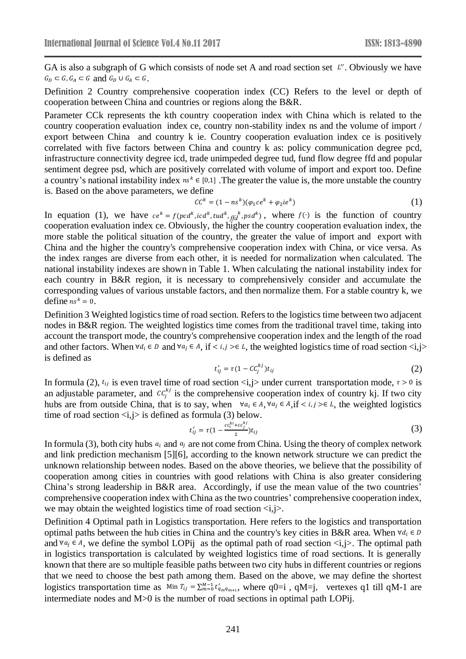GA is also a subgraph of G which consists of node set A and road section set  $L''$ . Obviously we have  $G_D \subset G$ ,  $G_A \subset G$  and  $G_D \cup G_A \subset G$ .

Definition 2 Country comprehensive cooperation index (CC) Refers to the level or depth of cooperation between China and countries or regions along the B&R.

Parameter CCk represents the kth country cooperation index with China which is related to the country cooperation evaluation index ce, country non-stability index ns and the volume of import / export between China and country k ie. Country cooperation evaluation index ce is positively correlated with five factors between China and country k as: policy communication degree pcd, infrastructure connectivity degree icd, trade unimpeded degree tud, fund flow degree ffd and popular sentiment degree psd, which are positively correlated with volume of import and export too. Define a country's national instability index  $ns^k \in [0,1]$ . The greater the value is, the more unstable the country is. Based on the above parameters, we define

$$
CCk = (1 - nsk)(\varphi_1 c ek + \varphi_2 i ek)
$$
 (1)

In equation (1), we have  $ce^k = f(pcd^k, icd^k, tud^k, fdd^k, psd^k)$ , where  $f(\cdot)$  is the function of country cooperation evaluation index ce. Obviously, the higher the country cooperation evaluation index, the more stable the political situation of the country, the greater the value of import and export with China and the higher the country's comprehensive cooperation index with China, or vice versa. As the index ranges are diverse from each other, it is needed for normalization when calculated. The national instability indexes are shown in Table 1. When calculating the national instability index for each country in B&R region, it is necessary to comprehensively consider and accumulate the corresponding values of various unstable factors, and then normalize them. For a stable country k, we define  $ns^k = 0$ .

Definition 3 Weighted logistics time of road section. Refers to the logistics time between two adjacent nodes in B&R region. The weighted logistics time comes from the traditional travel time, taking into account the transport mode, the country's comprehensive cooperation index and the length of the road and other factors. When  $\forall d_i \in D$  and  $\forall a_i \in A$ , if  $\langle i, j \rangle \in L$ , the weighted logistics time of road section  $\langle i, j \rangle$ is defined as

$$
t'_{ij} = \tau (1 - C C_j^{kj}) t_{ij} \tag{2}
$$

In formula (2),  $t_{ij}$  is even travel time of road section  $\langle i, j \rangle$  under current transportation mode,  $\tau > 0$  is an adjustable parameter, and  $cc_j^{k_j}$  is the comprehensive cooperation index of country kj. If two city hubs are from outside China, that is to say, when  $\forall a_i \in A, \forall a_j \in A, \text{if } \langle i, j \rangle \in L$ , the weighted logistics time of road section  $\langle i, j \rangle$  is defined as formula (3) below.

$$
t'_{ij} = \tau (1 - \frac{cc_i^{ki} + cc_j^{kj}}{2}) t_{ij}
$$
 (3)

In formula (3), both city hubs  $a_i$  and  $a_j$  are not come from China. Using the theory of complex network and link prediction mechanism [5][6], according to the known network structure we can predict the unknown relationship between nodes. Based on the above theories, we believe that the possibility of cooperation among cities in countries with good relations with China is also greater considering China's strong leadership in B&R area. Accordingly, if use the mean value of the two countries' comprehensive cooperation index with China as the two countries' comprehensive cooperation index, we may obtain the weighted logistics time of road section  $\langle i, j \rangle$ .

Definition 4 Optimal path in Logistics transportation. Here refers to the logistics and transportation optimal paths between the hub cities in China and the country's key cities in B&R area. When  $\forall d_i \in D$ and  $\forall a_j \in A$ , we define the symbol LOPij as the optimal path of road section  $\langle i, j \rangle$ . The optimal path in logistics transportation is calculated by weighted logistics time of road sections. It is generally known that there are so multiple feasible paths between two city hubs in different countries or regions that we need to choose the best path among them. Based on the above, we may define the shortest logistics transportation time as Min  $T_{ij} = \sum_{m=0}^{M-1} t'_{q_m q_{m+1}}$ , where  $q0=i$ ,  $qM=j$ , vertexes q1 till qM-1 are intermediate nodes and M>0 is the number of road sections in optimal path LOPij.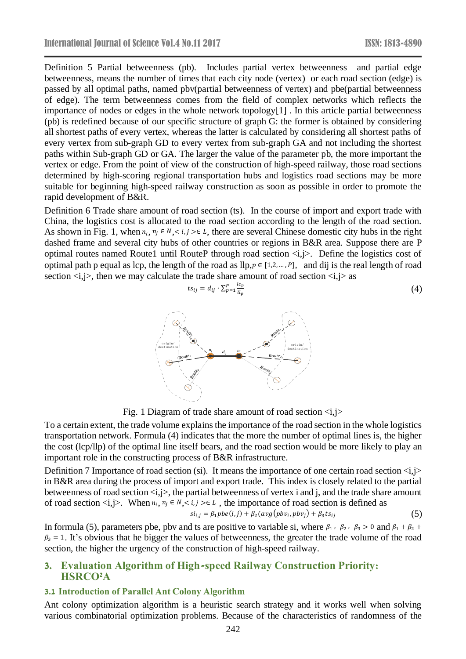Definition 5 Partial betweenness (pb). Includes partial vertex betweenness and partial edge betweenness, means the number of times that each city node (vertex) or each road section (edge) is passed by all optimal paths, named pbv(partial betweenness of vertex) and pbe(partial betweenness of edge). The term betweenness comes from the field of complex networks which reflects the importance of nodes or edges in the whole network topology[1] . In this article partial betweenness (pb) is redefined because of our specific structure of graph G: the former is obtained by considering all shortest paths of every vertex, whereas the latter is calculated by considering all shortest paths of every vertex from sub-graph GD to every vertex from sub-graph GA and not including the shortest paths within Sub-graph GD or GA. The larger the value of the parameter pb, the more important the vertex or edge. From the point of view of the construction of high-speed railway, those road sections determined by high-scoring regional transportation hubs and logistics road sections may be more suitable for beginning high-speed railway construction as soon as possible in order to promote the rapid development of B&R.

Definition 6 Trade share amount of road section (ts). In the course of import and export trade with China, the logistics cost is allocated to the road section according to the length of the road section. As shown in Fig. 1, when  $n_i$ ,  $n_j \in N$ ,  $\lt i, j \gt \in L$ , there are several Chinese domestic city hubs in the right dashed frame and several city hubs of other countries or regions in B&R area. Suppose there are P optimal routes named Route1 until RouteP through road section  $\langle i, j \rangle$ . Define the logistics cost of optimal path p equal as lcp, the length of the road as llp,  $p \in [1, 2, ..., P]$ , and dij is the real length of road section  $\langle i, j \rangle$ , then we may calculate the trade share amount of road section  $\langle i, j \rangle$  as

$$
ts_{ij} = d_{ij} \cdot \sum_{p=1}^{P} \frac{lc_p}{ll_p} \tag{4}
$$



Fig. 1 Diagram of trade share amount of road section  $\langle i, j \rangle$ 

To a certain extent, the trade volume explains the importance of the road section in the whole logistics transportation network. Formula (4) indicates that the more the number of optimal lines is, the higher the cost (lcp/llp) of the optimal line itself bears, and the road section would be more likely to play an important role in the constructing process of B&R infrastructure.

Definition 7 Importance of road section (si). It means the importance of one certain road section  $\langle i, j \rangle$ in B&R area during the process of import and export trade. This index is closely related to the partial betweenness of road section  $\langle i, j \rangle$ , the partial betweenness of vertex i and j, and the trade share amount of road section  $\langle i, j \rangle$ . When  $n_i, n_j \in N, \langle i, j \rangle \in L$ , the importance of road section is defined as

$$
si_{i,j} = \beta_1 pbe(i,j) + \beta_2(\text{avg}(pbv_i, pbv_j) + \beta_3 t s_{ij}
$$
\n
$$
(5)
$$

In formula (5), parameters pbe, pbv and ts are positive to variable si, where  $\beta_1$ ,  $\beta_2$ ,  $\beta_3$  > 0 and  $\beta_1 + \beta_2 +$  $\beta_3 = 1$ . It's obvious that he bigger the values of betweenness, the greater the trade volume of the road section, the higher the urgency of the construction of high-speed railway.

## **3. Evaluation Algorithm of High-speed Railway Construction Priority: HSRCO<sup>2</sup>A**

#### **3.1 Introduction of Parallel Ant Colony Algorithm**

Ant colony optimization algorithm is a heuristic search strategy and it works well when solving various combinatorial optimization problems. Because of the characteristics of randomness of the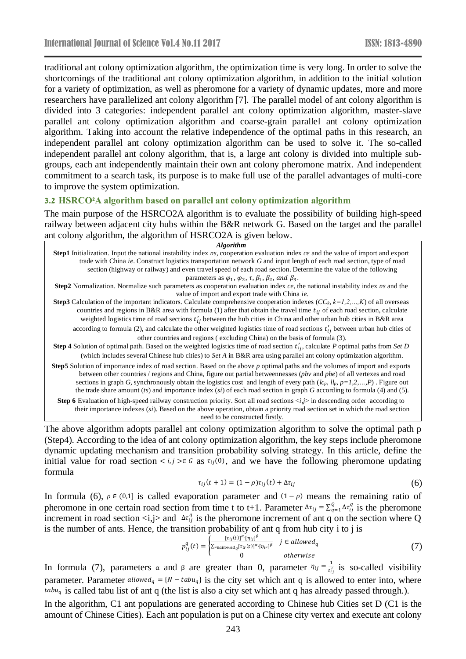traditional ant colony optimization algorithm, the optimization time is very long. In order to solve the shortcomings of the traditional ant colony optimization algorithm, in addition to the initial solution for a variety of optimization, as well as pheromone for a variety of dynamic updates, more and more researchers have parallelized ant colony algorithm [7]. The parallel model of ant colony algorithm is divided into 3 categories: independent parallel ant colony optimization algorithm, master-slave parallel ant colony optimization algorithm and coarse-grain parallel ant colony optimization algorithm. Taking into account the relative independence of the optimal paths in this research, an independent parallel ant colony optimization algorithm can be used to solve it. The so-called independent parallel ant colony algorithm, that is, a large ant colony is divided into multiple subgroups, each ant independently maintain their own ant colony pheromone matrix. And independent commitment to a search task, its purpose is to make full use of the parallel advantages of multi-core to improve the system optimization.

#### **3.2 HSRCO2A algorithm based on parallel ant colony optimization algorithm**

The main purpose of the HSRCO2A algorithm is to evaluate the possibility of building high-speed railway between adjacent city hubs within the B&R network G. Based on the target and the parallel ant colony algorithm, the algorithm of HSRCO2A is given below.

| <b>Algorithm</b>                                                                                                                                                                                                                                                                                                                                                                                                                                                                                                                      |
|---------------------------------------------------------------------------------------------------------------------------------------------------------------------------------------------------------------------------------------------------------------------------------------------------------------------------------------------------------------------------------------------------------------------------------------------------------------------------------------------------------------------------------------|
| Step1 Initialization. Input the national instability index ns, cooperation evaluation index ce and the value of import and export                                                                                                                                                                                                                                                                                                                                                                                                     |
| trade with China ie. Construct logistics transportation network G and input length of each road section, type of road                                                                                                                                                                                                                                                                                                                                                                                                                 |
| section (highway or railway) and even travel speed of each road section. Determine the value of the following                                                                                                                                                                                                                                                                                                                                                                                                                         |
| parameters as $\varphi_1$ , $\varphi_2$ , $\tau$ , $\beta_1$ , $\beta_2$ , and $\beta_3$ .                                                                                                                                                                                                                                                                                                                                                                                                                                            |
| Step2 Normalization. Normalize such parameters as cooperation evaluation index ce, the national instability index ns and the                                                                                                                                                                                                                                                                                                                                                                                                          |
| value of import and export trade with China ie.                                                                                                                                                                                                                                                                                                                                                                                                                                                                                       |
| <b>Step3</b> Calculation of the important indicators. Calculate comprehensive cooperation indexes $(CC_k, k=1,2,,K)$ of all overseas                                                                                                                                                                                                                                                                                                                                                                                                  |
| countries and regions in B&R area with formula (1) after that obtain the travel time $t_{ij}$ of each road section, calculate                                                                                                                                                                                                                                                                                                                                                                                                         |
| weighted logistics time of road sections $t'_{ij}$ between the hub cities in China and other urban hub cities in B&R area                                                                                                                                                                                                                                                                                                                                                                                                             |
| according to formula (2), and calculate the other weighted logistics time of road sections $t'_{ij}$ between urban hub cities of                                                                                                                                                                                                                                                                                                                                                                                                      |
| other countries and regions (excluding China) on the basis of formula (3).                                                                                                                                                                                                                                                                                                                                                                                                                                                            |
| <b>Step 4</b> Solution of optimal path. Based on the weighted logistics time of road section $t'_{ij}$ , calculate P optimal paths from Set D                                                                                                                                                                                                                                                                                                                                                                                         |
| (which includes several Chinese hub cities) to Set A in B&R area using parallel ant colony optimization algorithm.                                                                                                                                                                                                                                                                                                                                                                                                                    |
| <b>Step5</b> Solution of importance index of road section. Based on the above p optimal paths and the volumes of import and exports<br>between other countries / regions and China, figure out partial betweennesses ( <i>pbv</i> and <i>pbe</i> ) of all vertexes and road<br>sections in graph G, synchronously obtain the logistics cost and length of every path $(lc_p, ll_p, p=1,2,,P)$ . Figure out<br>the trade share amount (ts) and importance index (si) of each road section in graph G according to formula (4) and (5). |
| a zhi avanta an                                                                                                                                                                                                                                                                                                                                                                                                                                                                                                                       |

**Step 6** Evaluation of high-speed railway construction priority. Sort all road sections  $\langle i,j \rangle$  in descending order according to their importance indexes (*si*). Based on the above operation, obtain a priority road section set in which the road section need to be constructed firstly.

The above algorithm adopts parallel ant colony optimization algorithm to solve the optimal path p (Step4). According to the idea of ant colony optimization algorithm, the key steps include pheromone dynamic updating mechanism and transition probability solving strategy. In this article, define the initial value for road section <  $i, j \geq \epsilon$  as  $\tau_{ij}(0)$ , and we have the following pheromone updating formula

$$
\tau_{ij}(t+1) = (1-\rho)\tau_{ij}(t) + \Delta \tau_{ij}
$$
\n
$$
(6)
$$

In formula (6),  $\rho \in (0,1]$  is called evaporation parameter and  $(1 - \rho)$  means the remaining ratio of pheromone in one certain road section from time t to t+1. Parameter  $\Delta \tau_{ij} = \sum_{q=1}^{Q} \Delta \tau_{ij}^q$  is the pheromone increment in road section  $\langle i,j \rangle$  and  $\Delta \tau_{ij}^q$  is the pheromone increment of ant q on the section where Q is the number of ants. Hence, the transition probability of ant q from hub city i to j is

$$
p_{ij}^q(t) = \begin{cases} \frac{[\tau_{ij}(t)]^{\alpha} \cdot [\eta_{ij}]^{\beta}}{\sum_{r \in allowed_q} [\tau_{ir}(t)]^{\alpha} \cdot [\eta_{ir}]^{\beta}} & j \in allowed_q\\ 0 & otherwise \end{cases} \tag{7}
$$

In formula (7), parameters  $\alpha$  and  $\beta$  are greater than 0, parameter  $\eta_{ij} = \frac{1}{t_i^2}$  $\frac{1}{t'_{ij}}$  is so-called visibility parameter. Parameter  $allowed_q = \{N - tabu_q\}$  is the city set which ant q is allowed to enter into, where  $tabu_q$  is called tabu list of ant q (the list is also a city set which ant q has already passed through.).

In the algorithm, C1 ant populations are generated according to Chinese hub Cities set D (C1 is the amount of Chinese Cities). Each ant population is put on a Chinese city vertex and execute ant colony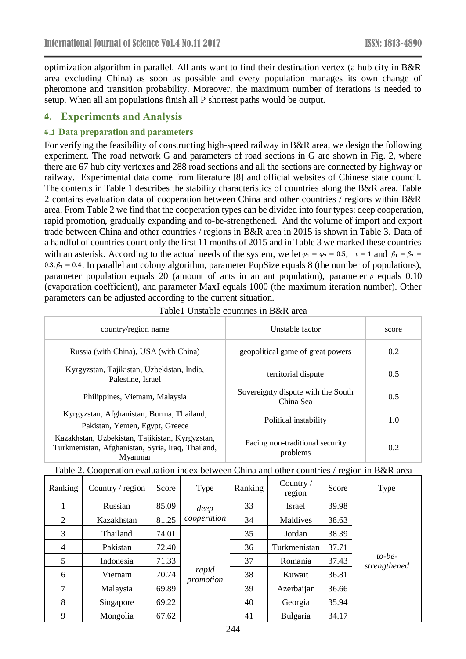optimization algorithm in parallel. All ants want to find their destination vertex (a hub city in B&R area excluding China) as soon as possible and every population manages its own change of pheromone and transition probability. Moreover, the maximum number of iterations is needed to setup. When all ant populations finish all P shortest paths would be output.

### **4. Experiments and Analysis**

#### **4.1 Data preparation and parameters**

For verifying the feasibility of constructing high-speed railway in B&R area, we design the following experiment. The road network G and parameters of road sections in G are shown in Fig. 2, where there are 67 hub city vertexes and 288 road sections and all the sections are connected by highway or railway. Experimental data come from literature [8] and official websites of Chinese state council. The contents in Table 1 describes the stability characteristics of countries along the B&R area, Table 2 contains evaluation data of cooperation between China and other countries / regions within B&R area. From Table 2 we find that the cooperation types can be divided into four types: deep cooperation, rapid promotion, gradually expanding and to-be-strengthened. And the volume of import and export trade between China and other countries / regions in B&R area in 2015 is shown in Table 3. Data of a handful of countries count only the first 11 months of 2015 and in Table 3 we marked these countries with an asterisk. According to the actual needs of the system, we let  $\varphi_1 = \varphi_2 = 0.5$ ,  $\tau = 1$  and  $\beta_1 = \beta_2 =$  $0.3, \beta_3 = 0.4$ . In parallel ant colony algorithm, parameter PopSize equals 8 (the number of populations), parameter population equals 20 (amount of ants in an ant population), parameter  $\rho$  equals 0.10 (evaporation coefficient), and parameter MaxI equals 1000 (the maximum iteration number). Other parameters can be adjusted according to the current situation.

| country/region name                                                                                             | Unstable factor                                 | score |
|-----------------------------------------------------------------------------------------------------------------|-------------------------------------------------|-------|
| Russia (with China), USA (with China)                                                                           | geopolitical game of great powers               | 0.2   |
| Kyrgyzstan, Tajikistan, Uzbekistan, India,<br>Palestine, Israel                                                 | territorial dispute                             | 0.5   |
| Philippines, Vietnam, Malaysia                                                                                  | Sovereignty dispute with the South<br>China Sea | 0.5   |
| Kyrgyzstan, Afghanistan, Burma, Thailand,<br>Pakistan, Yemen, Egypt, Greece                                     | Political instability                           | 1.0   |
| Kazakhstan, Uzbekistan, Tajikistan, Kyrgyzstan,<br>Turkmenistan, Afghanistan, Syria, Iraq, Thailand,<br>Myanmar | Facing non-traditional security<br>problems     | 0.2   |

|  |  |  |  |  |  |  | Table 2. Cooperation evaluation index between China and other countries / region in B&R area |
|--|--|--|--|--|--|--|----------------------------------------------------------------------------------------------|
|--|--|--|--|--|--|--|----------------------------------------------------------------------------------------------|

| Ranking        | Country / region | Score | Type               | Ranking | Country $/$<br>region | Score | Type                      |
|----------------|------------------|-------|--------------------|---------|-----------------------|-------|---------------------------|
|                | Russian          | 85.09 | deep               | 33      | Israel                | 39.98 |                           |
| 2              | Kazakhstan       | 81.25 | cooperation        | 34      | Maldives              | 38.63 |                           |
| 3              | Thailand         | 74.01 |                    | 35      | Jordan                | 38.39 |                           |
| $\overline{4}$ | Pakistan         | 72.40 |                    | 36      | Turkmenistan          | 37.71 |                           |
| 5              | Indonesia        | 71.33 |                    | 37      | Romania               | 37.43 | $to$ -be-<br>strengthened |
| 6              | Vietnam          | 70.74 | rapid<br>promotion | 38      | Kuwait                | 36.81 |                           |
| 7              | Malaysia         | 69.89 |                    | 39      | Azerbaijan            | 36.66 |                           |
| 8              | Singapore        | 69.22 |                    | 40      | Georgia               | 35.94 |                           |
| 9              | Mongolia         | 67.62 |                    | 41      | Bulgaria              | 34.17 |                           |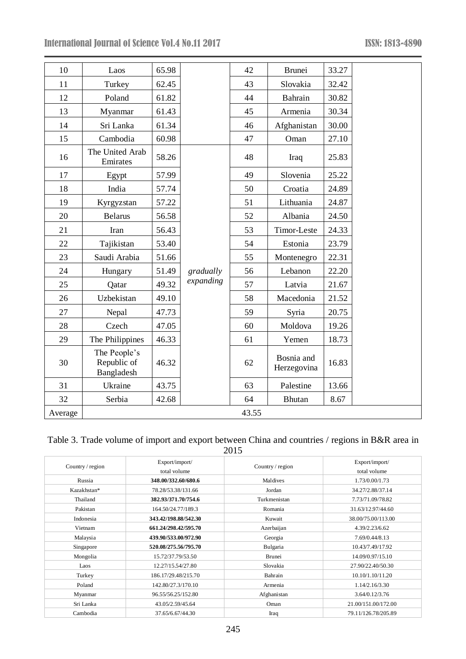| 10      | Laos                                      | 65.98 |           | 42    | <b>Brunei</b>             | 33.27 |
|---------|-------------------------------------------|-------|-----------|-------|---------------------------|-------|
| 11      | Turkey                                    | 62.45 |           | 43    | Slovakia                  | 32.42 |
| 12      | Poland                                    | 61.82 |           | 44    | Bahrain                   | 30.82 |
| 13      | Myanmar                                   | 61.43 |           | 45    | Armenia                   | 30.34 |
| 14      | Sri Lanka                                 | 61.34 |           | 46    | Afghanistan               | 30.00 |
| 15      | Cambodia                                  | 60.98 |           | 47    | Oman                      | 27.10 |
| 16      | The United Arab<br>Emirates               | 58.26 |           | 48    | Iraq                      | 25.83 |
| 17      | Egypt                                     | 57.99 |           | 49    | Slovenia                  | 25.22 |
| 18      | India                                     | 57.74 |           | 50    | Croatia                   | 24.89 |
| 19      | Kyrgyzstan                                | 57.22 |           | 51    | Lithuania                 | 24.87 |
| 20      | <b>Belarus</b>                            | 56.58 |           | 52    | Albania                   | 24.50 |
| 21      | Iran                                      | 56.43 |           | 53    | Timor-Leste               | 24.33 |
| 22      | Tajikistan                                | 53.40 |           | 54    | Estonia                   | 23.79 |
| 23      | Saudi Arabia                              | 51.66 |           | 55    | Montenegro                | 22.31 |
| 24      | Hungary                                   | 51.49 | gradually | 56    | Lebanon                   | 22.20 |
| 25      | Qatar                                     | 49.32 | expanding | 57    | Latvia                    | 21.67 |
| 26      | Uzbekistan                                | 49.10 |           | 58    | Macedonia                 | 21.52 |
| 27      | Nepal                                     | 47.73 |           | 59    | Syria                     | 20.75 |
| 28      | Czech                                     | 47.05 |           | 60    | Moldova                   | 19.26 |
| 29      | The Philippines                           | 46.33 |           | 61    | Yemen                     | 18.73 |
| 30      | The People's<br>Republic of<br>Bangladesh | 46.32 |           | 62    | Bosnia and<br>Herzegovina | 16.83 |
| 31      | Ukraine                                   | 43.75 |           | 63    | Palestine                 | 13.66 |
| 32      | Serbia                                    | 42.68 |           | 64    | Bhutan                    | 8.67  |
| Average |                                           |       |           | 43.55 |                           |       |

## Table 3. Trade volume of import and export between China and countries / regions in B&R area in 2015

| Country / region | Export/import/<br>total volume | Country / region | Export/import/<br>total volume |
|------------------|--------------------------------|------------------|--------------------------------|
| Russia           | 348.00/332.60/680.6            | Maldives         | 1.73/0.00/1.73                 |
| Kazakhstan*      | 78.28/53.38/131.66             | Jordan           | 34.27/2.88/37.14               |
| Thailand         | 382.93/371.70/754.6            | Turkmenistan     | 7.73/71.09/78.82               |
| Pakistan         | 164.50/24.77/189.3             | Romania          | 31.63/12.97/44.60              |
| Indonesia        | 343.42/198.88/542.30           | Kuwait           | 38.00/75.00/113.00             |
| Vietnam          | 661.24/298.42/595.70           | Azerbaijan       | 4.39/2.23/6.62                 |
| Malaysia         | 439.90/533.00/972.90           | Georgia          | 7.69/0.44/8.13                 |
| Singapore        | 520.08/275.56/795.70           | Bulgaria         | 10.43/7.49/17.92               |
| Mongolia         | 15.72/37.79/53.50              | <b>Brunei</b>    | 14.09/0.97/15.10               |
| Laos             | 12.27/15.54/27.80              | Slovakia         | 27.90/22.40/50.30              |
| Turkey           | 186.17/29.48/215.70            | Bahrain          | 10.10/1.10/11.20               |
| Poland           | 142.80/27.3/170.10             | Armenia          | 1.14/2.16/3.30                 |
| Myanmar          | 96.55/56.25/152.80             | Afghanistan      | 3.64/0.12/3.76                 |
| Sri Lanka        | 43.05/2.59/45.64               | Oman             | 21.00/151.00/172.00            |
| Cambodia         | 37.65/6.67/44.30               | Iraq             | 79.11/126.78/205.89            |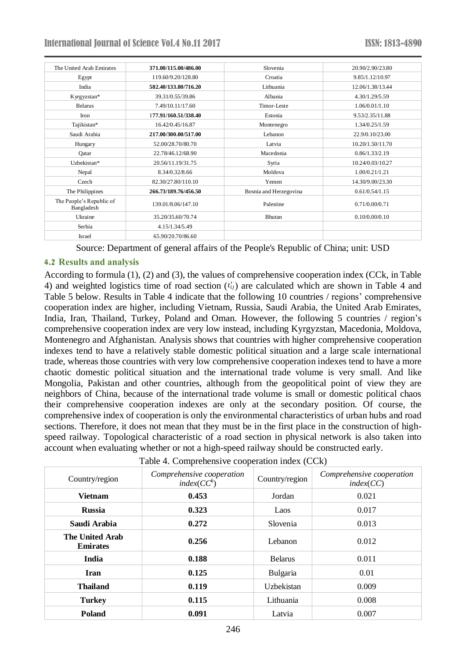| The United Arab Emirates               | 371.00/115.00/486.00 | Slovenia               | 20.90/2.90/23.80 |
|----------------------------------------|----------------------|------------------------|------------------|
| Egypt                                  | 119.60/9.20/128.80   | Croatia                | 9.85/1.12/10.97  |
| India                                  | 582.40/133.80/716.20 | Lithuania              | 12.06/1.38/13.44 |
| Kyrgyzstan*                            | 39.31/0.55/39.86     | Albania                | 4.30/1.29/5.59   |
| <b>Belarus</b>                         | 7.49/10.11/17.60     | Timor-Leste            | 1.06/0.01/1.10   |
| Iron                                   | 177.91/160.51/338.40 | Estonia                | 9.53/2.35/11.88  |
| Tajikistan*                            | 16.42/0.45/16.87     | Montenegro             | 1.34/0.25/1.59   |
| Saudi Arabia                           | 217.00/300.00/517.00 | Lebanon                | 22.9/0.10/23.00  |
| Hungary                                | 52.00/28.70/80.70    | Latvia                 | 10.20/1.50/11.70 |
| Qatar                                  | 22.78/46.12/68.90    | Macedonia              | 0.86/1.33/2.19   |
| Uzbekistan*                            | 20.56/11.19/31.75    | Syria                  | 10.24/0.03/10.27 |
| Nepal                                  | 8.34/0.32/8.66       | Moldova                | 1.00/0.21/1.21   |
| Czech                                  | 82.30/27.80/110.10   | Yemen                  | 14.30/9.00/23.30 |
| The Philippines                        | 266.73/189.76/456.50 | Bosnia and Herzegovina | 0.61/0.54/1.15   |
| The People's Republic of<br>Bangladesh | 139.01/8.06/147.10   | Palestine              | 0.71/0.00/0.71   |
| Ukraine                                | 35.20/35.60/70.74    | <b>Bhutan</b>          | 0.10/0.00/0.10   |
| Serbia                                 | 4.15/1.34/5.49       |                        |                  |
| Israel                                 | 65.90/20.70/86.60    |                        |                  |

Source: Department of general affairs of the People's Republic of China; unit: USD

#### **4.2 Results and analysis**

According to formula (1), (2) and (3), the values of comprehensive cooperation index (CCk, in Table 4) and weighted logistics time of road section  $(t_{ij})$  are calculated which are shown in Table 4 and Table 5 below. Results in Table 4 indicate that the following 10 countries / regions' comprehensive cooperation index are higher, including Vietnam, Russia, Saudi Arabia, the United Arab Emirates, India, Iran, Thailand, Turkey, Poland and Oman. However, the following 5 countries / region's comprehensive cooperation index are very low instead, including Kyrgyzstan, Macedonia, Moldova, Montenegro and Afghanistan. Analysis shows that countries with higher comprehensive cooperation indexes tend to have a relatively stable domestic political situation and a large scale international trade, whereas those countries with very low comprehensive cooperation indexes tend to have a more chaotic domestic political situation and the international trade volume is very small. And like Mongolia, Pakistan and other countries, although from the geopolitical point of view they are neighbors of China, because of the international trade volume is small or domestic political chaos their comprehensive cooperation indexes are only at the secondary position. Of course, the comprehensive index of cooperation is only the environmental characteristics of urban hubs and road sections. Therefore, it does not mean that they must be in the first place in the construction of highspeed railway. Topological characteristic of a road section in physical network is also taken into account when evaluating whether or not a high-speed railway should be constructed early.

| $1.000$ $\ldots$ comprehensive cooperation matrix (CCK) |                                                      |                |                                        |  |  |  |
|---------------------------------------------------------|------------------------------------------------------|----------------|----------------------------------------|--|--|--|
| Country/region                                          | Comprehensive cooperation<br>index(CC <sup>k</sup> ) | Country/region | Comprehensive cooperation<br>index(CC) |  |  |  |
| <b>Vietnam</b>                                          | 0.453                                                | Jordan         | 0.021                                  |  |  |  |
| <b>Russia</b>                                           | 0.323                                                | Laos           | 0.017                                  |  |  |  |
| Saudi Arabia                                            | 0.272                                                | Slovenia       | 0.013                                  |  |  |  |
| The United Arab<br><b>Emirates</b>                      | 0.256                                                | Lebanon        | 0.012                                  |  |  |  |
| India                                                   | 0.188                                                | <b>Belarus</b> | 0.011                                  |  |  |  |
| Iran                                                    | 0.125                                                | Bulgaria       | 0.01                                   |  |  |  |
| <b>Thailand</b>                                         | 0.119                                                | Uzbekistan     | 0.009                                  |  |  |  |
| <b>Turkey</b>                                           | 0.115                                                | Lithuania      | 0.008                                  |  |  |  |
| <b>Poland</b>                                           | 0.091                                                | Latvia         | 0.007                                  |  |  |  |

Table 4. Comprehensive cooperation index (CCk)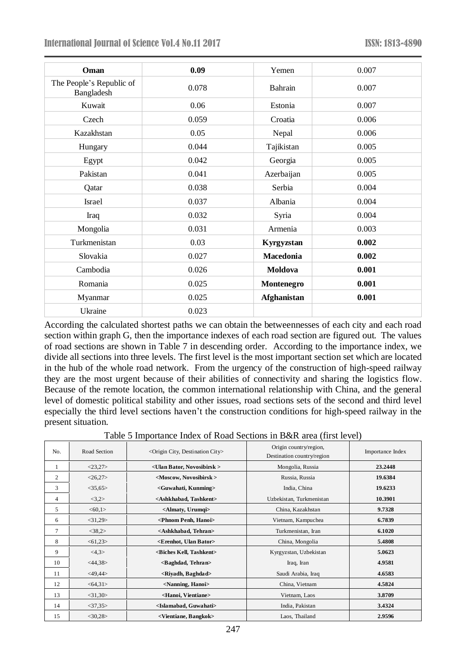| Oman                                   | 0.09  | Yemen              | 0.007 |
|----------------------------------------|-------|--------------------|-------|
| The People's Republic of<br>Bangladesh | 0.078 | Bahrain            | 0.007 |
| Kuwait                                 | 0.06  | Estonia            | 0.007 |
| Czech                                  | 0.059 | Croatia            | 0.006 |
| Kazakhstan                             | 0.05  | Nepal              | 0.006 |
| Hungary                                | 0.044 | Tajikistan         | 0.005 |
| Egypt                                  | 0.042 | Georgia            | 0.005 |
| Pakistan                               | 0.041 | Azerbaijan         | 0.005 |
| Qatar                                  | 0.038 | Serbia             | 0.004 |
| Israel                                 | 0.037 | Albania            | 0.004 |
| Iraq                                   | 0.032 | Syria              | 0.004 |
| Mongolia                               | 0.031 | Armenia            | 0.003 |
| Turkmenistan                           | 0.03  | Kyrgyzstan         | 0.002 |
| Slovakia                               | 0.027 | Macedonia          | 0.002 |
| Cambodia                               | 0.026 | Moldova            | 0.001 |
| Romania                                | 0.025 | Montenegro         | 0.001 |
| Myanmar                                | 0.025 | <b>Afghanistan</b> | 0.001 |
| Ukraine                                | 0.023 |                    |       |

According the calculated shortest paths we can obtain the betweennesses of each city and each road section within graph G, then the importance indexes of each road section are figured out. The values of road sections are shown in Table 7 in descending order. According to the importance index, we divide all sections into three levels. The first level is the most important section set which are located in the hub of the whole road network. From the urgency of the construction of high-speed railway they are the most urgent because of their abilities of connectivity and sharing the logistics flow. Because of the remote location, the common international relationship with China, and the general level of domestic political stability and other issues, road sections sets of the second and third level especially the third level sections haven't the construction conditions for high-speed railway in the present situation.

Table 5 Importance Index of Road Sections in B&R area (first level)

| No. | Road Section  | $\leq$ Origin City, Destination City $>$    | Origin country/region,<br>Destination country/region | Importance Index |
|-----|---------------|---------------------------------------------|------------------------------------------------------|------------------|
| 1   | <23,27>       | <ulan bator,="" novosibirsk=""></ulan>      | Mongolia, Russia                                     | 23.2448          |
| 2   | <26,27>       | <moscow, novosibirsk=""></moscow,>          | Russia, Russia                                       | 19.6384          |
| 3   | $<$ 35,65 $>$ | <guwahati, kunming=""></guwahati,>          | India, China                                         | 19.6233          |
| 4   | <3,2>         | <ashkhabad, tashkent=""></ashkhabad,>       | Uzbekistan, Turkmenistan                             | 10.3901          |
| 5   | < 60, 1>      | $\triangle$ Almaty, Urumqi $\triangleright$ | China, Kazakhstan                                    | 9.7328           |
| 6   | $<$ 31,29>    | <phnom hanoi="" penh,=""></phnom>           | Vietnam, Kampuchea                                   | 6.7839           |
| 7   | <38,2>        | <ashkhabad, tehran=""></ashkhabad,>         | Turkmenistan, Iran                                   | 6.1020           |
| 8   | < 61,23       | <erenhot, bator="" ulan=""></erenhot,>      | China, Mongolia                                      | 5.4808           |
| 9   | <4,3>         | <biches kell,="" tashkent=""></biches>      | Kyrgyzstan, Uzbekistan                               | 5.0623           |
| 10  | $<$ 44,38>    | <baghdad, tehran=""></baghdad,>             | Iraq, Iran                                           | 4.9581           |
| 11  | $<$ 49,44 $>$ | <riyadh, baghdad=""></riyadh,>              | Saudi Arabia, Iraq                                   | 4.6583           |
| 12  | <64,31>       | <nanning, hanoi=""></nanning,>              | China, Vietnam                                       | 4.5824           |
| 13  | $<$ 31,30 $>$ | <hanoi, vientiane=""></hanoi,>              | Vietnam, Laos                                        | 3.8709           |
| 14  | $<$ 37,35 $>$ | <islamabad, guwahati=""></islamabad,>       | India, Pakistan                                      | 3.4324           |
| 15  | $<$ 30,28>    | <vientiane, bangkok=""></vientiane,>        | Laos, Thailand                                       | 2.9596           |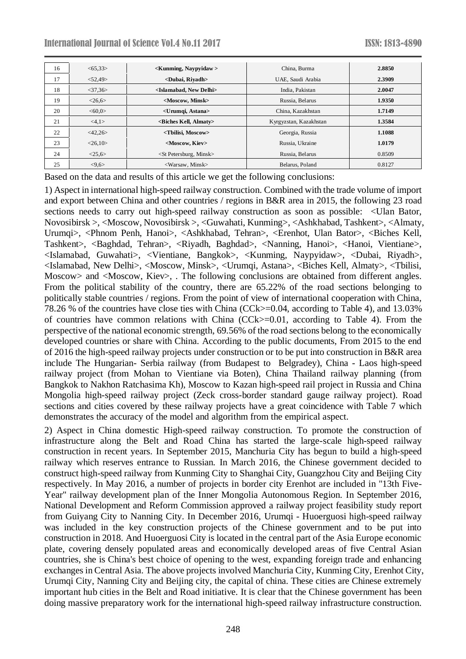| 16 | < 65.33>            | $\leq$ Kunming, Navpyidaw $>$             | China, Burma           | 2.8850 |
|----|---------------------|-------------------------------------------|------------------------|--------|
| 17 | < 52,49             | <dubai, rivadh=""></dubai,>               | UAE, Saudi Arabia      | 2.3909 |
| 18 | $<$ 37,36 $>$       | <islamabad, delhi="" new=""></islamabad,> | India, Pakistan        | 2.0047 |
| 19 | <26,6>              | <moscow, minsk=""></moscow,>              | Russia, Belarus        | 1.9350 |
| 20 | <60.0>              | <urumqi, astana=""></urumqi,>             | China, Kazakhstan      | 1.7149 |
| 21 | <4,1>               | <biches almaty="" kell,=""></biches>      | Kyrgyzstan, Kazakhstan | 1.3584 |
| 22 | $<\!\!42,\!26\!\!>$ | <tbilisi, moscow=""></tbilisi,>           | Georgia, Russia        | 1.1088 |
| 23 | <26,10>             | <moscow, kiev=""></moscow,>               | Russia. Ukraine        | 1.0179 |
| 24 | <25,6>              | $\leq$ St Petersburg, Minsk $>$           | Russia, Belarus        | 0.8509 |
| 25 | < 9,6               | $\langle$ Warsaw, Minsk $\rangle$         | Belarus, Poland        | 0.8127 |

Based on the data and results of this article we get the following conclusions:

1) Aspect in international high-speed railway construction. Combined with the trade volume of import and export between China and other countries / regions in B&R area in 2015, the following 23 road sections needs to carry out high-speed railway construction as soon as possible: <Ulan Bator, Novosibirsk >, <Moscow, Novosibirsk >, <Guwahati, Kunming>, <Ashkhabad, Tashkent>, <Almaty, Urumqi>, <Phnom Penh, Hanoi>, <Ashkhabad, Tehran>, <Erenhot, Ulan Bator>, <Biches Kell, Tashkent>, <Baghdad, Tehran>, <Riyadh, Baghdad>, <Nanning, Hanoi>, <Hanoi, Vientiane>, <Islamabad, Guwahati>, <Vientiane, Bangkok>, <Kunming, Naypyidaw>, <Dubai, Riyadh>, <Islamabad, New Delhi>, <Moscow, Minsk>, <Urumqi, Astana>, <Biches Kell, Almaty>, <Tbilisi, Moscow> and <Moscow, Kiev>, . The following conclusions are obtained from different angles. From the political stability of the country, there are 65.22% of the road sections belonging to politically stable countries / regions. From the point of view of international cooperation with China, 78.26 % of the countries have close ties with China (CCk>=0.04, according to Table 4), and 13.03% of countries have common relations with China (CCk>=0.01, according to Table 4). From the perspective of the national economic strength, 69.56% of the road sections belong to the economically developed countries or share with China. According to the public documents, From 2015 to the end of 2016 the high-speed railway projects under construction or to be put into construction in B&R area include The Hungarian- Serbia railway (from Budapest to Belgradey), China - Laos high-speed railway project (from Mohan to Vientiane via Boten), China Thailand railway planning (from Bangkok to Nakhon Ratchasima Kh), Moscow to Kazan high-speed rail project in Russia and China Mongolia high-speed railway project (Zeck cross-border standard gauge railway project). Road sections and cities covered by these railway projects have a great coincidence with Table 7 which demonstrates the accuracy of the model and algorithm from the empirical aspect.

2) Aspect in China domestic High-speed railway construction. To promote the construction of infrastructure along the Belt and Road China has started the large-scale high-speed railway construction in recent years. In September 2015, Manchuria City has begun to build a high-speed railway which reserves entrance to Russian. In March 2016, the Chinese government decided to construct high-speed railway from Kunming City to Shanghai City, Guangzhou City and Beijing City respectively. In May 2016, a number of projects in border city Erenhot are included in "13th Five-Year" railway development plan of the Inner Mongolia Autonomous Region. In September 2016, National Development and Reform Commission approved a railway project feasibility study report from Guiyang City to Nanning City. In December 2016, Urumqi - Huoerguosi high-speed railway was included in the key construction projects of the Chinese government and to be put into construction in 2018. And Huoerguosi City is located in the central part of the Asia Europe economic plate, covering densely populated areas and economically developed areas of five Central Asian countries, she is China's best choice of opening to the west, expanding foreign trade and enhancing exchanges in Central Asia. The above projects involved Manchuria City, Kunming City, Erenhot City, Urumqi City, Nanning City and Beijing city, the capital of china. These cities are Chinese extremely important hub cities in the Belt and Road initiative. It is clear that the Chinese government has been doing massive preparatory work for the international high-speed railway infrastructure construction.